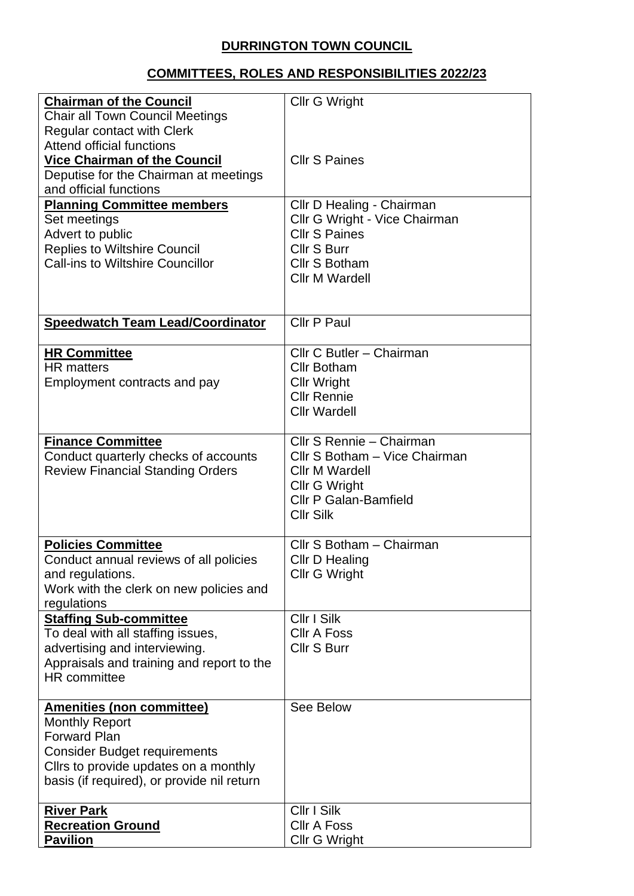## **DURRINGTON TOWN COUNCIL**

## **COMMITTEES, ROLES AND RESPONSIBILITIES 2022/23**

| <b>Chairman of the Council</b>             | <b>Cllr G Wright</b>          |
|--------------------------------------------|-------------------------------|
|                                            |                               |
| <b>Chair all Town Council Meetings</b>     |                               |
| <b>Regular contact with Clerk</b>          |                               |
| <b>Attend official functions</b>           |                               |
| <b>Vice Chairman of the Council</b>        | <b>Cllr S Paines</b>          |
| Deputise for the Chairman at meetings      |                               |
| and official functions                     |                               |
| <b>Planning Committee members</b>          | Cllr D Healing - Chairman     |
| Set meetings                               | Cllr G Wright - Vice Chairman |
| Advert to public                           | <b>Cllr S Paines</b>          |
| <b>Replies to Wiltshire Council</b>        | Cllr S Burr                   |
| <b>Call-ins to Wiltshire Councillor</b>    | Cllr S Botham                 |
|                                            | <b>Cllr M Wardell</b>         |
|                                            |                               |
|                                            |                               |
|                                            |                               |
| <b>Speedwatch Team Lead/Coordinator</b>    | Cllr P Paul                   |
|                                            |                               |
| <b>HR Committee</b>                        | Cllr C Butler - Chairman      |
| <b>HR</b> matters                          | <b>Cllr Botham</b>            |
| Employment contracts and pay               | <b>Cllr Wright</b>            |
|                                            | <b>Cllr Rennie</b>            |
|                                            | <b>Cllr Wardell</b>           |
|                                            |                               |
| <b>Finance Committee</b>                   | Cllr S Rennie - Chairman      |
| Conduct quarterly checks of accounts       | Cllr S Botham - Vice Chairman |
| <b>Review Financial Standing Orders</b>    | Cllr M Wardell                |
|                                            | <b>Cllr G Wright</b>          |
|                                            | <b>Cllr P Galan-Bamfield</b>  |
|                                            | <b>Cllr Silk</b>              |
|                                            |                               |
| <b>Policies Committee</b>                  | Cllr S Botham - Chairman      |
| Conduct annual reviews of all policies     | Cllr D Healing                |
| and regulations.                           | <b>Cllr G Wright</b>          |
| Work with the clerk on new policies and    |                               |
|                                            |                               |
| regulations                                | Cllr I Silk                   |
| <b>Staffing Sub-committee</b>              |                               |
| To deal with all staffing issues,          | <b>CIIr A Foss</b>            |
| advertising and interviewing.              | Cllr S Burr                   |
| Appraisals and training and report to the  |                               |
| <b>HR</b> committee                        |                               |
|                                            |                               |
| <b>Amenities (non committee)</b>           | See Below                     |
| <b>Monthly Report</b>                      |                               |
| <b>Forward Plan</b>                        |                               |
| <b>Consider Budget requirements</b>        |                               |
| Cllrs to provide updates on a monthly      |                               |
| basis (if required), or provide nil return |                               |
|                                            |                               |
| <b>River Park</b>                          | Cllr I Silk                   |
| <b>Recreation Ground</b>                   | <b>CIIr A Foss</b>            |
| <b>Pavilion</b>                            | <b>Cllr G Wright</b>          |